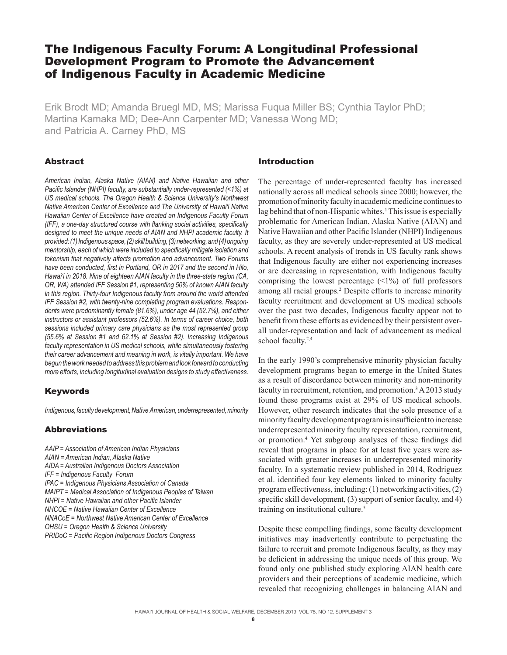## The Indigenous Faculty Forum: A Longitudinal Professional Development Program to Promote the Advancement of Indigenous Faculty in Academic Medicine

Erik Brodt MD; Amanda Bruegl MD, MS; Marissa Fuqua Miller BS; Cynthia Taylor PhD; Martina Kamaka MD; Dee-Ann Carpenter MD; Vanessa Wong MD; and Patricia A. Carney PhD, MS

## Abstract

*American Indian, Alaska Native (AIAN) and Native Hawaiian and other Pacific Islander (NHPI) faculty, are substantially under-represented (<1%) at US medical schools. The Oregon Health & Science University's Northwest Native American Center of Excellence and The University of Hawai'i Native Hawaiian Center of Excellence have created an Indigenous Faculty Forum (IFF), a one-day structured course with flanking social activities, specifically*  designed to meet the unique needs of AIAN and NHPI academic faculty. It *provided: (1) Indigenous space, (2) skill building, (3) networking, and (4) ongoing mentorship, each of which were included to specifically mitigate isolation and tokenism that negatively affects promotion and advancement. Two Forums have been conducted, first in Portland, OR in 2017 and the second in Hilo, Hawai'i in 2018. Nine of eighteen AIAN faculty in the three-state region (CA, OR, WA) attended IFF Session #1, representing 50% of known AIAN faculty in this region. Thirty-four Indigenous faculty from around the world attended IFF Session #2, with twenty-nine completing program evaluations. Respondents were predominantly female (81.6%), under age 44 (52.7%), and either instructors or assistant professors (52.6%). In terms of career choice, both sessions included primary care physicians as the most represented group (55.6% at Session #1 and 62.1% at Session #2). Increasing Indigenous faculty representation in US medical schools, while simultaneously fostering their career advancement and meaning in work, is vitally important. We have begun the work needed to address this problem and look forward to conducting more efforts, including longitudinal evaluation designs to study effectiveness.*

## Keywords

*Indigenous, faculty development, Native American, underrepresented, minority*

## Abbreviations

*AAIP = Association of American Indian Physicians AIAN = American Indian, Alaska Native AIDA = Australian Indigenous Doctors Association IFF = Indigenous Faculty Forum IPAC = Indigenous Physicians Association of Canada MAIPT = Medical Association of Indigenous Peoples of Taiwan NHPI = Native Hawaiian and other Pacific Islander NHCOE = Native Hawaiian Center of Excellence NNACoE = Northwest Native American Center of Excellence OHSU = Oregon Health & Science University PRIDoC = Pacific Region Indigenous Doctors Congress*

## Introduction

The percentage of under-represented faculty has increased nationally across all medical schools since 2000; however, the promotion of minority faculty in academic medicine continues to lag behind that of non-Hispanic whites.<sup>1</sup> This issue is especially problematic for American Indian, Alaska Native (AIAN) and Native Hawaiian and other Pacific Islander (NHPI) Indigenous faculty, as they are severely under-represented at US medical schools. A recent analysis of trends in US faculty rank shows that Indigenous faculty are either not experiencing increases or are decreasing in representation, with Indigenous faculty comprising the lowest percentage  $(\leq 1\%)$  of full professors among all racial groups.<sup>2</sup> Despite efforts to increase minority faculty recruitment and development at US medical schools over the past two decades, Indigenous faculty appear not to benefit from these efforts as evidenced by their persistent overall under-representation and lack of advancement as medical school faculty.<sup>2,4</sup>

In the early 1990's comprehensive minority physician faculty development programs began to emerge in the United States as a result of discordance between minority and non-minority faculty in recruitment, retention, and promotion.<sup>3</sup> A 2013 study found these programs exist at 29% of US medical schools. However, other research indicates that the sole presence of a minority faculty developmentprogram is insufficient to increase underrepresented minority faculty representation, recruitment, or promotion.4 Yet subgroup analyses of these findings did reveal that programs in place for at least five years were associated with greater increases in underrepresented minority faculty. In a systematic review published in 2014, Rodriguez et al. identified four key elements linked to minority faculty program effectiveness, including: (1) networking activities, (2) specific skill development, (3) support of senior faculty, and 4) training on institutional culture.<sup>5</sup>

Despite these compelling findings, some faculty development initiatives may inadvertently contribute to perpetuating the failure to recruit and promote Indigenous faculty, as they may be deficient in addressing the unique needs of this group. We found only one published study exploring AIAN health care providers and their perceptions of academic medicine, which revealed that recognizing challenges in balancing AIAN and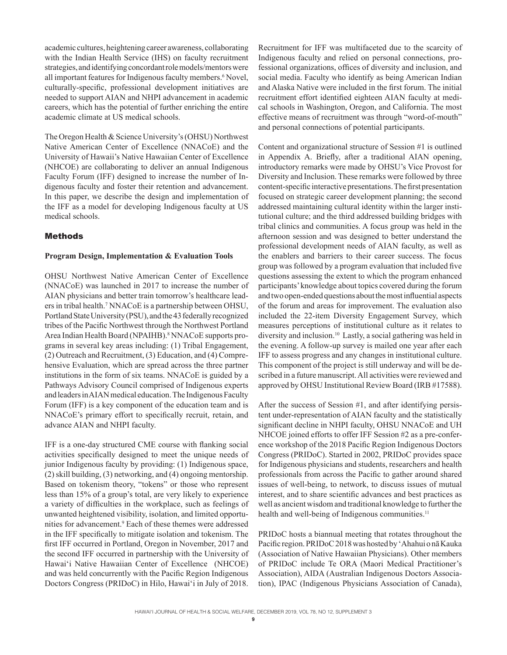academic cultures, heightening career awareness, collaborating with the Indian Health Service (IHS) on faculty recruitment strategies, and identifying concordant role models/mentors were all important features for Indigenous faculty members.<sup>6</sup> Novel, culturally-specific, professional development initiatives are needed to support AIAN and NHPI advancement in academic careers, which has the potential of further enriching the entire academic climate at US medical schools.

The Oregon Health & Science University's (OHSU) Northwest Native American Center of Excellence (NNACoE) and the University of Hawaii's Native Hawaiian Center of Excellence (NHCOE) are collaborating to deliver an annual Indigenous Faculty Forum (IFF) designed to increase the number of Indigenous faculty and foster their retention and advancement. In this paper, we describe the design and implementation of the IFF as a model for developing Indigenous faculty at US medical schools.

## Methods

### **Program Design, Implementation & Evaluation Tools**

OHSU Northwest Native American Center of Excellence (NNACoE) was launched in 2017 to increase the number of AIAN physicians and better train tomorrow's healthcare leaders in tribal health.7 NNACoE is a partnership between OHSU, Portland State University (PSU), and the 43 federally recognized tribes of the Pacific Northwest through the Northwest Portland Area Indian Health Board (NPAIHB).<sup>8</sup> NNACoE supports programs in several key areas including: (1) Tribal Engagement, (2) Outreach and Recruitment, (3) Education, and (4) Comprehensive Evaluation, which are spread across the three partner institutions in the form of six teams. NNACoE is guided by a Pathways Advisory Council comprised of Indigenous experts and leaders in AIAN medical education. The Indigenous Faculty Forum (IFF) is a key component of the education team and is NNACoE's primary effort to specifically recruit, retain, and advance AIAN and NHPI faculty.

IFF is a one-day structured CME course with flanking social activities specifically designed to meet the unique needs of junior Indigenous faculty by providing: (1) Indigenous space, (2) skill building, (3) networking, and (4) ongoing mentorship. Based on tokenism theory, "tokens" or those who represent less than 15% of a group's total, are very likely to experience a variety of difficulties in the workplace, such as feelings of unwanted heightened visibility, isolation, and limited opportunities for advancement.9 Each of these themes were addressed in the IFF specifically to mitigate isolation and tokenism. The first IFF occurred in Portland, Oregon in November, 2017 and the second IFF occurred in partnership with the University of Hawai'i Native Hawaiian Center of Excellence (NHCOE) and was held concurrently with the Pacific Region Indigenous Doctors Congress (PRIDoC) in Hilo, Hawai'i in July of 2018.

Recruitment for IFF was multifaceted due to the scarcity of Indigenous faculty and relied on personal connections, professional organizations, offices of diversity and inclusion, and social media. Faculty who identify as being American Indian and Alaska Native were included in the first forum. The initial recruitment effort identified eighteen AIAN faculty at medical schools in Washington, Oregon, and California. The most effective means of recruitment was through "word-of-mouth" and personal connections of potential participants.

Content and organizational structure of Session #1 is outlined in Appendix A. Briefly, after a traditional AIAN opening, introductory remarks were made by OHSU's Vice Provost for Diversity and Inclusion. These remarks were followed by three content-specific interactive presentations. The first presentation focused on strategic career development planning; the second addressed maintaining cultural identity within the larger institutional culture; and the third addressed building bridges with tribal clinics and communities. A focus group was held in the afternoon session and was designed to better understand the professional development needs of AIAN faculty, as well as the enablers and barriers to their career success. The focus group was followed by a program evaluation that included five questions assessing the extent to which the program enhanced participants' knowledge about topics covered during the forum and two open-ended questions about the most influential aspects of the forum and areas for improvement. The evaluation also included the 22-item Diversity Engagement Survey, which measures perceptions of institutional culture as it relates to diversity and inclusion.10 Lastly, a social gathering was held in the evening. A follow-up survey is mailed one year after each IFF to assess progress and any changes in institutional culture. This component of the project is still underway and will be described in a future manuscript. All activities were reviewed and approved by OHSU Institutional Review Board (IRB #17588).

After the success of Session #1, and after identifying persistent under-representation of AIAN faculty and the statistically significant decline in NHPI faculty, OHSU NNACoE and UH NHCOE joined efforts to offer IFF Session #2 as a pre-conference workshop of the 2018 Pacific Region Indigenous Doctors Congress (PRIDoC). Started in 2002, PRIDoC provides space for Indigenous physicians and students, researchers and health professionals from across the Pacific to gather around shared issues of well-being, to network, to discuss issues of mutual interest, and to share scientific advances and best practices as well as ancient wisdom and traditional knowledge to further the health and well-being of Indigenous communities.<sup>11</sup>

PRIDoC hosts a biannual meeting that rotates throughout the Pacific region. PRIDoC 2018 was hosted by 'Ahahui o nā Kauka (Association of Native Hawaiian Physicians). Other members of PRIDoC include Te ORA (Maori Medical Practitioner's Association), AIDA (Australian Indigenous Doctors Association), IPAC (Indigenous Physicians Association of Canada),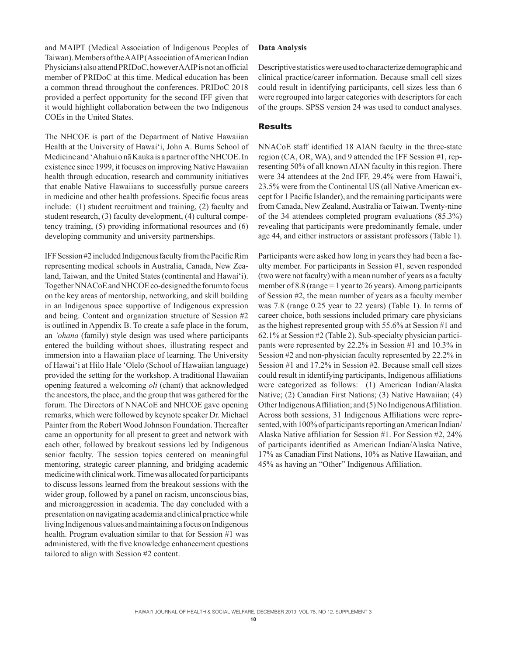and MAIPT (Medical Association of Indigenous Peoples of Taiwan). Members of the AAIP (Association of American Indian Physicians) also attend PRIDoC, however AAIP is not an official member of PRIDoC at this time. Medical education has been a common thread throughout the conferences. PRIDoC 2018 provided a perfect opportunity for the second IFF given that it would highlight collaboration between the two Indigenous COEs in the United States.

The NHCOE is part of the Department of Native Hawaiian Health at the University of Hawai'i, John A. Burns School of Medicine and 'Ahahui o nā Kauka is a partner of the NHCOE. In existence since 1999, it focuses on improving Native Hawaiian health through education, research and community initiatives that enable Native Hawaiians to successfully pursue careers in medicine and other health professions. Specific focus areas include: (1) student recruitment and training, (2) faculty and student research, (3) faculty development, (4) cultural competency training, (5) providing informational resources and (6) developing community and university partnerships.

IFF Session #2 included Indigenous faculty from the Pacific Rim representing medical schools in Australia, Canada, New Zealand, Taiwan, and the United States (continental and Hawai'i). Together NNACoE and NHCOE co-designed the forum to focus on the key areas of mentorship, networking, and skill building in an Indigenous space supportive of Indigenous expression and being. Content and organization structure of Session #2 is outlined in Appendix B. To create a safe place in the forum, an *'ohana* (family) style design was used where participants entered the building without shoes, illustrating respect and immersion into a Hawaiian place of learning. The University of Hawai'i at Hilo Hale 'Olelo (School of Hawaiian language) provided the setting for the workshop. A traditional Hawaiian opening featured a welcoming *oli* (chant) that acknowledged the ancestors, the place, and the group that was gathered for the forum. The Directors of NNACoE and NHCOE gave opening remarks, which were followed by keynote speaker Dr. Michael Painter from the Robert Wood Johnson Foundation. Thereafter came an opportunity for all present to greet and network with each other, followed by breakout sessions led by Indigenous senior faculty. The session topics centered on meaningful mentoring, strategic career planning, and bridging academic medicine with clinical work. Time was allocated for participants to discuss lessons learned from the breakout sessions with the wider group, followed by a panel on racism, unconscious bias, and microaggression in academia. The day concluded with a presentation on navigating academia and clinical practice while living Indigenous values and maintaining a focus on Indigenous health. Program evaluation similar to that for Session #1 was administered, with the five knowledge enhancement questions tailored to align with Session #2 content.

### **Data Analysis**

Descriptive statistics were used to characterize demographic and clinical practice/career information. Because small cell sizes could result in identifying participants, cell sizes less than 6 were regrouped into larger categories with descriptors for each of the groups. SPSS version 24 was used to conduct analyses.

## **Results**

NNACoE staff identified 18 AIAN faculty in the three-state region (CA, OR, WA), and 9 attended the IFF Session #1, representing 50% of all known AIAN faculty in this region. There were 34 attendees at the 2nd IFF, 29.4% were from Hawai'i, 23.5% were from the Continental US (all Native American except for 1 Pacific Islander), and the remaining participants were from Canada, New Zealand, Australia or Taiwan. Twenty-nine of the 34 attendees completed program evaluations (85.3%) revealing that participants were predominantly female, under age 44, and either instructors or assistant professors (Table 1).

Participants were asked how long in years they had been a faculty member. For participants in Session #1, seven responded (two were not faculty) with a mean number of years as a faculty member of 8.8 (range  $= 1$  year to 26 years). Among participants of Session #2, the mean number of years as a faculty member was 7.8 (range 0.25 year to 22 years) (Table 1). In terms of career choice, both sessions included primary care physicians as the highest represented group with 55.6% at Session #1 and 62.1% at Session #2 (Table 2). Sub-specialty physician participants were represented by 22.2% in Session #1 and 10.3% in Session #2 and non-physician faculty represented by 22.2% in Session #1 and 17.2% in Session #2. Because small cell sizes could result in identifying participants, Indigenous affiliations were categorized as follows: (1) American Indian/Alaska Native; (2) Canadian First Nations; (3) Native Hawaiian; (4) Other Indigenous Affiliation; and (5) No Indigenous Affiliation. Across both sessions, 31 Indigenous Affiliations were represented, with 100% of participants reporting an American Indian/ Alaska Native affiliation for Session #1. For Session #2, 24% of participants identified as American Indian/Alaska Native, 17% as Canadian First Nations, 10% as Native Hawaiian, and 45% as having an "Other" Indigenous Affiliation.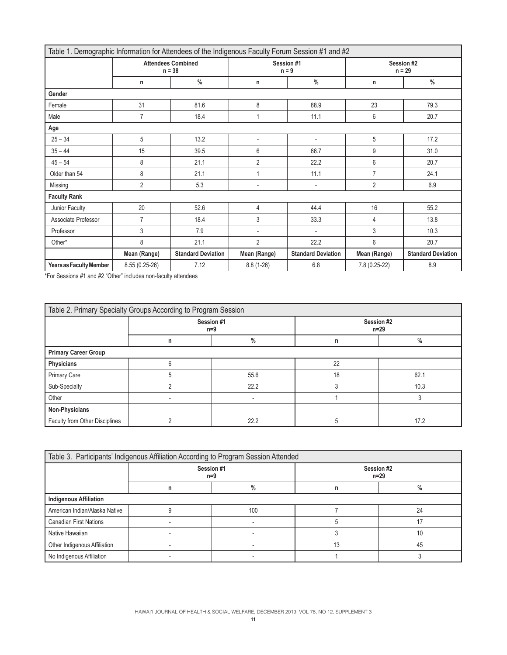| Table 1. Demographic Information for Attendees of the Indigenous Faculty Forum Session #1 and #2 |                                       |                           |                          |                           |                        |                           |
|--------------------------------------------------------------------------------------------------|---------------------------------------|---------------------------|--------------------------|---------------------------|------------------------|---------------------------|
|                                                                                                  | <b>Attendees Combined</b><br>$n = 38$ |                           | Session #1<br>$n = 9$    |                           | Session #2<br>$n = 29$ |                           |
|                                                                                                  | n                                     | $\frac{0}{0}$             | n                        | $\frac{0}{0}$             | n                      | $\frac{0}{0}$             |
| Gender                                                                                           |                                       |                           |                          |                           |                        |                           |
| Female                                                                                           | 31                                    | 81.6                      | 8                        | 88.9                      | 23                     | 79.3                      |
| Male                                                                                             | $\overline{7}$                        | 18.4                      | 1                        | 11.1                      | 6                      | 20.7                      |
| Age                                                                                              |                                       |                           |                          |                           |                        |                           |
| $25 - 34$                                                                                        | 5                                     | 13.2                      | $\overline{\phantom{a}}$ | $\overline{\phantom{a}}$  | 5                      | 17.2                      |
| $35 - 44$                                                                                        | 15                                    | 39.5                      | 6                        | 66.7                      | 9                      | 31.0                      |
| $45 - 54$                                                                                        | 8                                     | 21.1                      | $\overline{2}$           | 22.2                      | 6                      | 20.7                      |
| Older than 54                                                                                    | 8                                     | 21.1                      | $\mathbf{1}$             | 11.1                      | $\overline{7}$         | 24.1                      |
| Missing                                                                                          | $\overline{2}$                        | 5.3                       | $\overline{\phantom{a}}$ | $\overline{\phantom{a}}$  | $\overline{2}$         | 6.9                       |
| <b>Faculty Rank</b>                                                                              |                                       |                           |                          |                           |                        |                           |
| Junior Faculty                                                                                   | 20                                    | 52.6                      | 4                        | 44.4                      | 16                     | 55.2                      |
| Associate Professor                                                                              | $\overline{7}$                        | 18.4                      | 3                        | 33.3                      | 4                      | 13.8                      |
| Professor                                                                                        | 3                                     | 7.9                       | $\overline{\phantom{a}}$ | $\overline{\phantom{a}}$  | 3                      | 10.3                      |
| Other*                                                                                           | 8                                     | 21.1                      | $\overline{2}$           | 22.2                      | 6                      | 20.7                      |
|                                                                                                  | Mean (Range)                          | <b>Standard Deviation</b> | Mean (Range)             | <b>Standard Deviation</b> | Mean (Range)           | <b>Standard Deviation</b> |
| Years as Faculty Member                                                                          | 8.55 (0.25-26)                        | 7.12                      | $8.8(1-26)$              | 6.8                       | 7.8 (0.25-22)          | 8.9                       |

\*For Sessions #1 and #2 "Other" includes non-faculty attendees

| Table 2. Primary Specialty Groups According to Program Session |                   |               |                      |      |
|----------------------------------------------------------------|-------------------|---------------|----------------------|------|
|                                                                | Session #1<br>n=9 |               | Session #2<br>$n=29$ |      |
|                                                                | n                 | $\frac{0}{0}$ | n                    | $\%$ |
| <b>Primary Career Group</b>                                    |                   |               |                      |      |
| Physicians                                                     | რ                 |               | 22                   |      |
| <b>Primary Care</b>                                            |                   | 55.6          | 18                   | 62.1 |
| Sub-Specialty                                                  |                   | 22.2          | 3                    | 10.3 |
| Other                                                          |                   |               |                      |      |
| Non-Physicians                                                 |                   |               |                      |      |
| Faculty from Other Disciplines                                 |                   | 22.2          | 5                    | 17.2 |

| Table 3. Participants' Indigenous Affiliation According to Program Session Attended |                   |      |                      |    |
|-------------------------------------------------------------------------------------|-------------------|------|----------------------|----|
|                                                                                     | Session #1<br>n=9 |      | Session #2<br>$n=29$ |    |
|                                                                                     | n                 | $\%$ | n                    | %  |
| <b>Indigenous Affiliation</b>                                                       |                   |      |                      |    |
| American Indian/Alaska Native                                                       |                   | 100  |                      | 24 |
| <b>Canadian First Nations</b>                                                       |                   |      |                      |    |
| Native Hawaiian                                                                     |                   |      |                      | 10 |
| Other Indigenous Affiliation                                                        |                   |      | 13                   | 45 |
| No Indigenous Affiliation                                                           |                   |      |                      |    |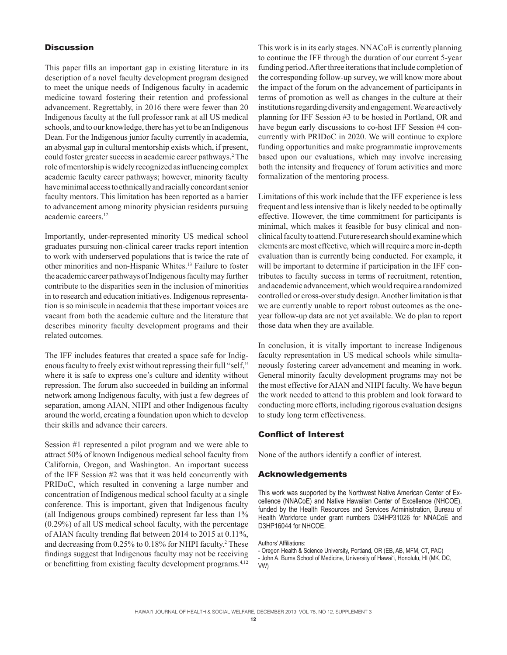## **Discussion**

This paper fills an important gap in existing literature in its description of a novel faculty development program designed to meet the unique needs of Indigenous faculty in academic medicine toward fostering their retention and professional advancement. Regrettably, in 2016 there were fewer than 20 Indigenous faculty at the full professor rank at all US medical schools, and to our knowledge, there has yet to be an Indigenous Dean. For the Indigenous junior faculty currently in academia, an abysmal gap in cultural mentorship exists which, if present, could foster greater success in academic career pathways.<sup>2</sup> The role of mentorship is widely recognized as influencing complex academic faculty career pathways; however, minority faculty have minimal access to ethnically and racially concordant senior faculty mentors. This limitation has been reported as a barrier to advancement among minority physician residents pursuing academic careers.12

Importantly, under-represented minority US medical school graduates pursuing non-clinical career tracks report intention to work with underserved populations that is twice the rate of other minorities and non-Hispanic Whites.13 Failure to foster the academic career pathways of Indigenous faculty may further contribute to the disparities seen in the inclusion of minorities in to research and education initiatives. Indigenous representation is so miniscule in academia that these important voices are vacant from both the academic culture and the literature that describes minority faculty development programs and their related outcomes.

The IFF includes features that created a space safe for Indigenous faculty to freely exist without repressing their full "self," where it is safe to express one's culture and identity without repression. The forum also succeeded in building an informal network among Indigenous faculty, with just a few degrees of separation, among AIAN, NHPI and other Indigenous faculty around the world, creating a foundation upon which to develop their skills and advance their careers.

Session #1 represented a pilot program and we were able to attract 50% of known Indigenous medical school faculty from California, Oregon, and Washington. An important success of the IFF Session #2 was that it was held concurrently with PRIDoC, which resulted in convening a large number and concentration of Indigenous medical school faculty at a single conference. This is important, given that Indigenous faculty (all Indigenous groups combined) represent far less than 1% (0.29%) of all US medical school faculty, with the percentage of AIAN faculty trending flat between 2014 to 2015 at 0.11%, and decreasing from 0.25% to 0.18% for NHPI faculty.<sup>2</sup> These findings suggest that Indigenous faculty may not be receiving or benefitting from existing faculty development programs.<sup>4,12</sup>

This work is in its early stages. NNACoE is currently planning to continue the IFF through the duration of our current 5-year funding period. After three iterations that include completion of the corresponding follow-up survey, we will know more about the impact of the forum on the advancement of participants in terms of promotion as well as changes in the culture at their institutions regarding diversity and engagement. We are actively planning for IFF Session #3 to be hosted in Portland, OR and have begun early discussions to co-host IFF Session #4 concurrently with PRIDoC in 2020. We will continue to explore funding opportunities and make programmatic improvements based upon our evaluations, which may involve increasing both the intensity and frequency of forum activities and more formalization of the mentoring process.

Limitations of this work include that the IFF experience is less frequent and less intensive than is likely needed to be optimally effective. However, the time commitment for participants is minimal, which makes it feasible for busy clinical and nonclinical faculty to attend. Future research should examine which elements are most effective, which will require a more in-depth evaluation than is currently being conducted. For example, it will be important to determine if participation in the IFF contributes to faculty success in terms of recruitment, retention, and academic advancement, which would require a randomized controlled or cross-over study design. Another limitation is that we are currently unable to report robust outcomes as the oneyear follow-up data are not yet available. We do plan to report those data when they are available.

In conclusion, it is vitally important to increase Indigenous faculty representation in US medical schools while simultaneously fostering career advancement and meaning in work. General minority faculty development programs may not be the most effective for AIAN and NHPI faculty. We have begun the work needed to attend to this problem and look forward to conducting more efforts, including rigorous evaluation designs to study long term effectiveness.

## Conflict of Interest

None of the authors identify a conflict of interest.

## Acknowledgements

This work was supported by the Northwest Native American Center of Excellence (NNACoE) and Native Hawaiian Center of Excellence (NHCOE), funded by the Health Resources and Services Administration, Bureau of Health Workforce under grant numbers D34HP31026 for NNACoE and D3HP16044 for NHCOE.

Authors' Affiliations:

- John A. Burns School of Medicine, University of Hawai'i, Honolulu, HI (MK, DC, VW)

<sup>-</sup> Oregon Health & Science University, Portland, OR (EB, AB, MFM, CT, PAC)